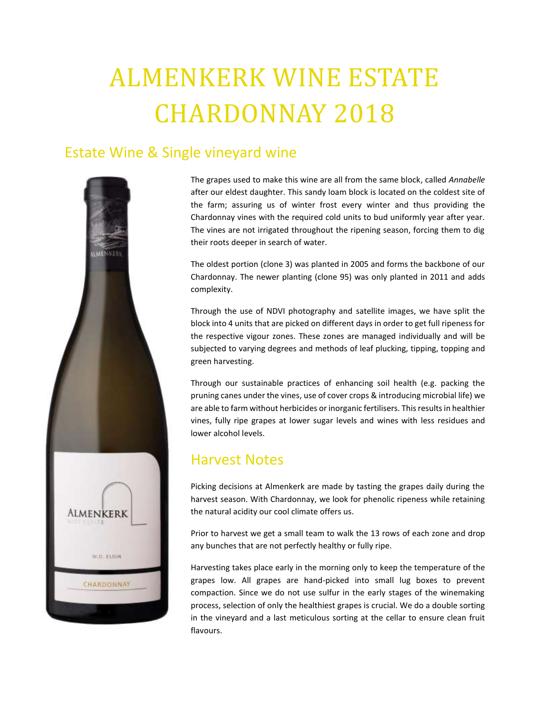# ALMENKERK WINE ESTATE CHARDONNAY 2018

## Estate Wine & Single vineyard wine



The grapes used to make this wine are all from the same block, called *Annabelle* after our eldest daughter. This sandy loam block is located on the coldest site of the farm; assuring us of winter frost every winter and thus providing the Chardonnay vines with the required cold units to bud uniformly year after year. The vines are not irrigated throughout the ripening season, forcing them to dig their roots deeper in search of water.

The oldest portion (clone 3) was planted in 2005 and forms the backbone of our Chardonnay. The newer planting (clone 95) was only planted in 2011 and adds complexity.

Through the use of NDVI photography and satellite images, we have split the block into 4 units that are picked on different days in order to get full ripeness for the respective vigour zones. These zones are managed individually and will be subjected to varying degrees and methods of leaf plucking, tipping, topping and green harvesting.

Through our sustainable practices of enhancing soil health (e.g. packing the pruning canes under the vines, use of cover crops & introducing microbial life) we are able to farm without herbicides or inorganic fertilisers. This results in healthier vines, fully ripe grapes at lower sugar levels and wines with less residues and lower alcohol levels.

#### Harvest Notes

Picking decisions at Almenkerk are made by tasting the grapes daily during the harvest season. With Chardonnay, we look for phenolic ripeness while retaining the natural acidity our cool climate offers us.

Prior to harvest we get a small team to walk the 13 rows of each zone and drop any bunches that are not perfectly healthy or fully ripe.

Harvesting takes place early in the morning only to keep the temperature of the grapes low. All grapes are hand-picked into small lug boxes to prevent compaction. Since we do not use sulfur in the early stages of the winemaking process, selection of only the healthiest grapes is crucial. We do a double sorting in the vineyard and a last meticulous sorting at the cellar to ensure clean fruit flavours.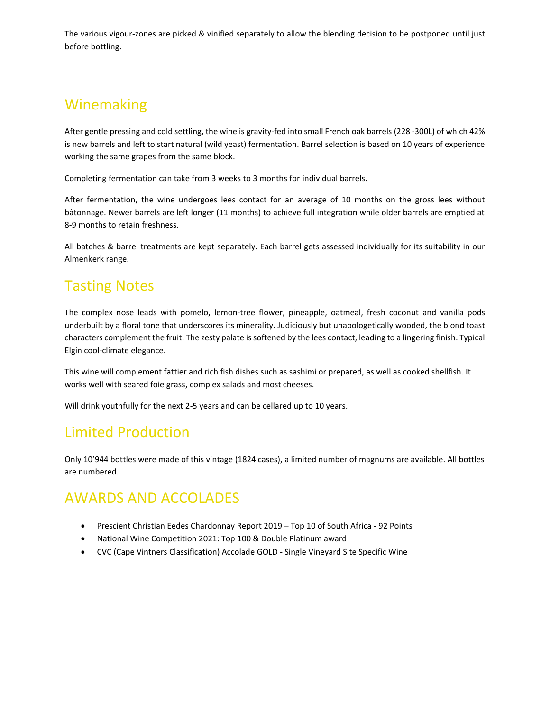The various vigour-zones are picked & vinified separately to allow the blending decision to be postponed until just before bottling.

## Winemaking

After gentle pressing and cold settling, the wine is gravity-fed into small French oak barrels (228 -300L) of which 42% is new barrels and left to start natural (wild yeast) fermentation. Barrel selection is based on 10 years of experience working the same grapes from the same block.

Completing fermentation can take from 3 weeks to 3 months for individual barrels.

After fermentation, the wine undergoes lees contact for an average of 10 months on the gross lees without bâtonnage. Newer barrels are left longer (11 months) to achieve full integration while older barrels are emptied at 8-9 months to retain freshness.

All batches & barrel treatments are kept separately. Each barrel gets assessed individually for its suitability in our Almenkerk range.

#### Tasting Notes

The complex nose leads with pomelo, lemon-tree flower, pineapple, oatmeal, fresh coconut and vanilla pods underbuilt by a floral tone that underscores its minerality. Judiciously but unapologetically wooded, the blond toast characters complement the fruit. The zesty palate is softened by the lees contact, leading to a lingering finish. Typical Elgin cool-climate elegance.

This wine will complement fattier and rich fish dishes such as sashimi or prepared, as well as cooked shellfish. It works well with seared foie grass, complex salads and most cheeses.

Will drink youthfully for the next 2-5 years and can be cellared up to 10 years.

#### Limited Production

Only 10'944 bottles were made of this vintage (1824 cases), a limited number of magnums are available. All bottles are numbered.

## AWARDS AND ACCOLADES

- Prescient Christian Eedes Chardonnay Report 2019 Top 10 of South Africa 92 Points
- National Wine Competition 2021: Top 100 & Double Platinum award
- CVC (Cape Vintners Classification) Accolade GOLD Single Vineyard Site Specific Wine